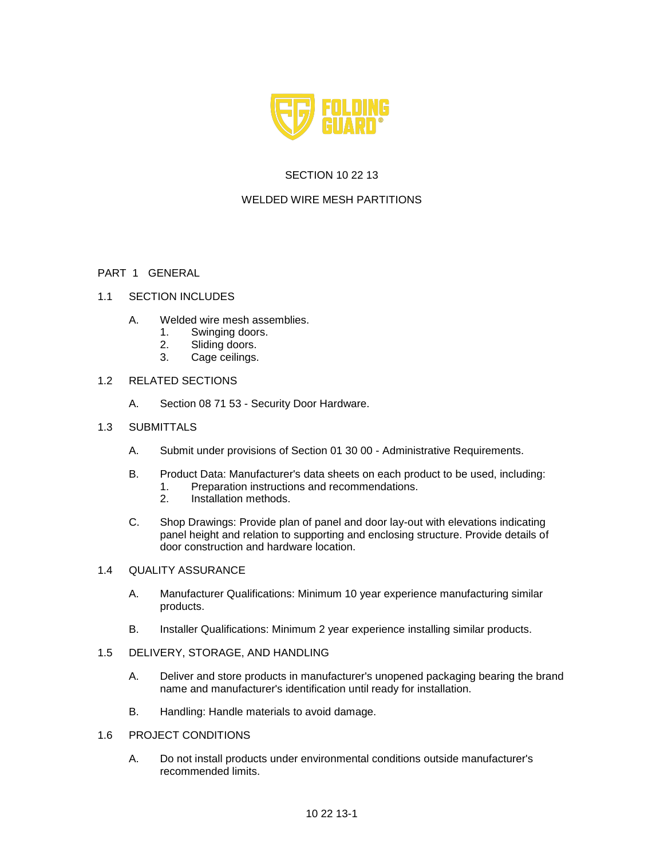

# SECTION 10 22 13

## WELDED WIRE MESH PARTITIONS

### PART 1 GENERAL

#### 1.1 SECTION INCLUDES

- A. Welded wire mesh assemblies.
	- 1. Swinging doors.
	- 2. Sliding doors.
	- 3. Cage ceilings.

### 1.2 RELATED SECTIONS

- A. Section 08 71 53 Security Door Hardware.
- 1.3 SUBMITTALS
	- A. Submit under provisions of Section 01 30 00 Administrative Requirements.
	- B. Product Data: Manufacturer's data sheets on each product to be used, including:
		- 1. Preparation instructions and recommendations.
		- 2. Installation methods.
	- C. Shop Drawings: Provide plan of panel and door lay-out with elevations indicating panel height and relation to supporting and enclosing structure. Provide details of door construction and hardware location.

#### 1.4 QUALITY ASSURANCE

- A. Manufacturer Qualifications: Minimum 10 year experience manufacturing similar products.
- B. Installer Qualifications: Minimum 2 year experience installing similar products.

#### 1.5 DELIVERY, STORAGE, AND HANDLING

- A. Deliver and store products in manufacturer's unopened packaging bearing the brand name and manufacturer's identification until ready for installation.
- B. Handling: Handle materials to avoid damage.
- 1.6 PROJECT CONDITIONS
	- A. Do not install products under environmental conditions outside manufacturer's recommended limits.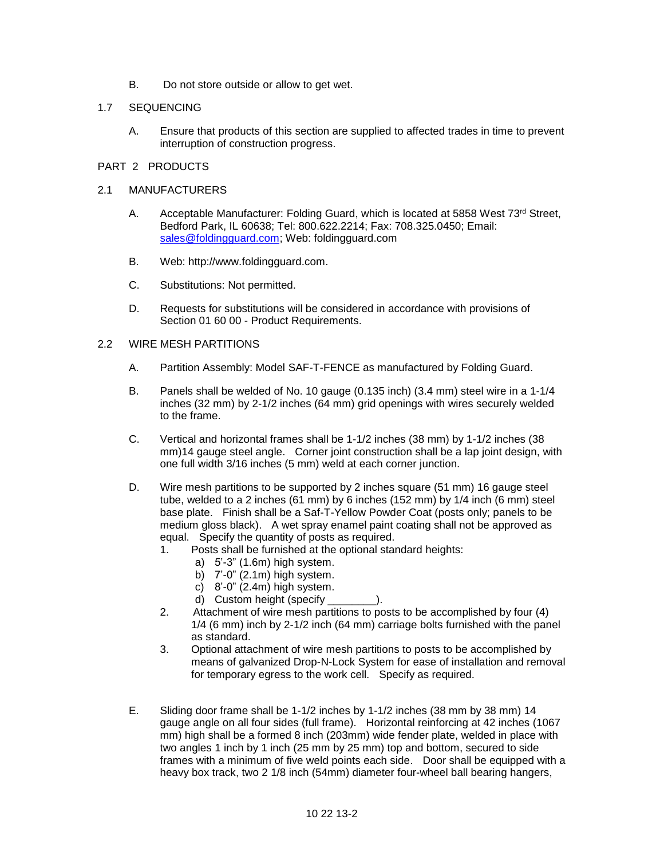B. Do not store outside or allow to get wet.

### 1.7 SEQUENCING

A. Ensure that products of this section are supplied to affected trades in time to prevent interruption of construction progress.

### PART 2 PRODUCTS

#### 2.1 MANUFACTURERS

- A. Acceptable Manufacturer: Folding Guard, which is located at 5858 West 73rd Street, Bedford Park, IL 60638; Tel: 800.622.2214; Fax: 708.325.0450; Email: [sales@foldingguard.com;](mailto:sales@foldingguard.com) Web: foldingguard.com
- B. Web: http://www.foldingguard.com.
- C. Substitutions: Not permitted.
- D. Requests for substitutions will be considered in accordance with provisions of Section 01 60 00 - Product Requirements.

#### 2.2 WIRE MESH PARTITIONS

- A. Partition Assembly: Model SAF-T-FENCE as manufactured by Folding Guard.
- B. Panels shall be welded of No. 10 gauge (0.135 inch) (3.4 mm) steel wire in a 1-1/4 inches (32 mm) by 2-1/2 inches (64 mm) grid openings with wires securely welded to the frame.
- C. Vertical and horizontal frames shall be 1-1/2 inches (38 mm) by 1-1/2 inches (38 mm)14 gauge steel angle. Corner joint construction shall be a lap joint design, with one full width 3/16 inches (5 mm) weld at each corner junction.
- D. Wire mesh partitions to be supported by 2 inches square (51 mm) 16 gauge steel tube, welded to a 2 inches (61 mm) by 6 inches (152 mm) by 1/4 inch (6 mm) steel base plate. Finish shall be a Saf-T-Yellow Powder Coat (posts only; panels to be medium gloss black). A wet spray enamel paint coating shall not be approved as equal. Specify the quantity of posts as required.
	- 1. Posts shall be furnished at the optional standard heights:
		- a) 5'-3" (1.6m) high system.
		- b) 7'-0" (2.1m) high system.
		- c) 8'-0" (2.4m) high system.
		- d) Custom height (specify example  $\blacksquare$ ).
	- 2. Attachment of wire mesh partitions to posts to be accomplished by four (4) 1/4 (6 mm) inch by 2-1/2 inch (64 mm) carriage bolts furnished with the panel as standard.
	- 3. Optional attachment of wire mesh partitions to posts to be accomplished by means of galvanized Drop-N-Lock System for ease of installation and removal for temporary egress to the work cell. Specify as required.
- E. Sliding door frame shall be 1-1/2 inches by 1-1/2 inches (38 mm by 38 mm) 14 gauge angle on all four sides (full frame). Horizontal reinforcing at 42 inches (1067 mm) high shall be a formed 8 inch (203mm) wide fender plate, welded in place with two angles 1 inch by 1 inch (25 mm by 25 mm) top and bottom, secured to side frames with a minimum of five weld points each side. Door shall be equipped with a heavy box track, two 2 1/8 inch (54mm) diameter four-wheel ball bearing hangers,